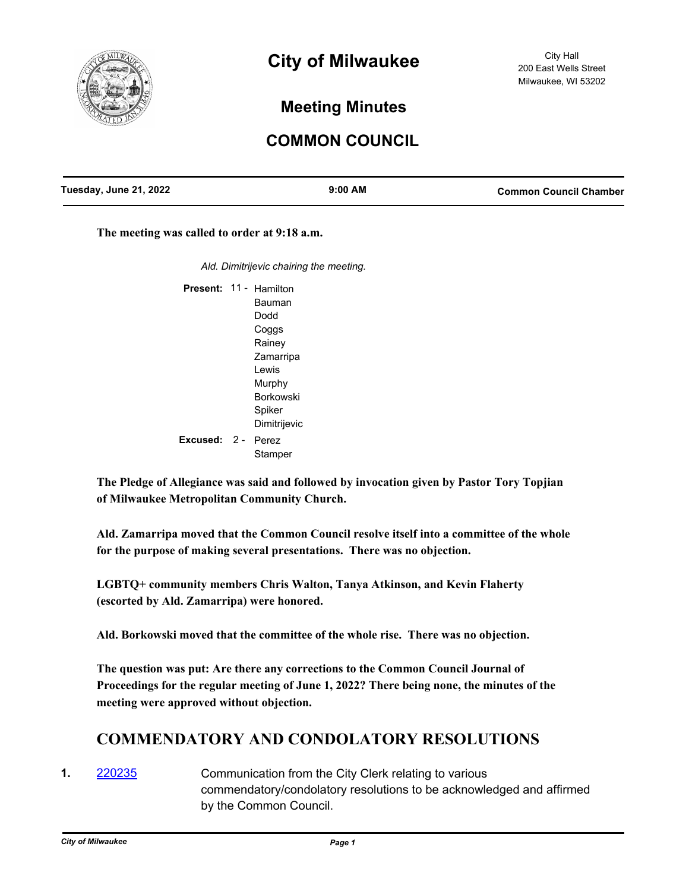

# **City of Milwaukee**

# **Meeting Minutes**

# **COMMON COUNCIL**

| Tuesday, June 21, 2022 | $9:00$ AM | <b>Common Council Chamber</b> |
|------------------------|-----------|-------------------------------|
|                        |           |                               |

**The meeting was called to order at 9:18 a.m.**

*Ald. Dimitrijevic chairing the meeting.*

Present: 11 - Hamilton Bauman Dodd Coggs Rainey Zamarripa Lewis Murphy Borkowski Spiker Dimitrijevic Excused: 2 - Perez **Stamper** 

**The Pledge of Allegiance was said and followed by invocation given by Pastor Tory Topjian of Milwaukee Metropolitan Community Church.**

**Ald. Zamarripa moved that the Common Council resolve itself into a committee of the whole for the purpose of making several presentations. There was no objection.**

**LGBTQ+ community members Chris Walton, Tanya Atkinson, and Kevin Flaherty (escorted by Ald. Zamarripa) were honored.**

**Ald. Borkowski moved that the committee of the whole rise. There was no objection.**

**The question was put: Are there any corrections to the Common Council Journal of Proceedings for the regular meeting of June 1, 2022? There being none, the minutes of the meeting were approved without objection.**

# **COMMENDATORY AND CONDOLATORY RESOLUTIONS**

**1.** [220235](http://milwaukee.legistar.com/gateway.aspx?m=l&id=/matter.aspx?key=62369) Communication from the City Clerk relating to various commendatory/condolatory resolutions to be acknowledged and affirmed by the Common Council.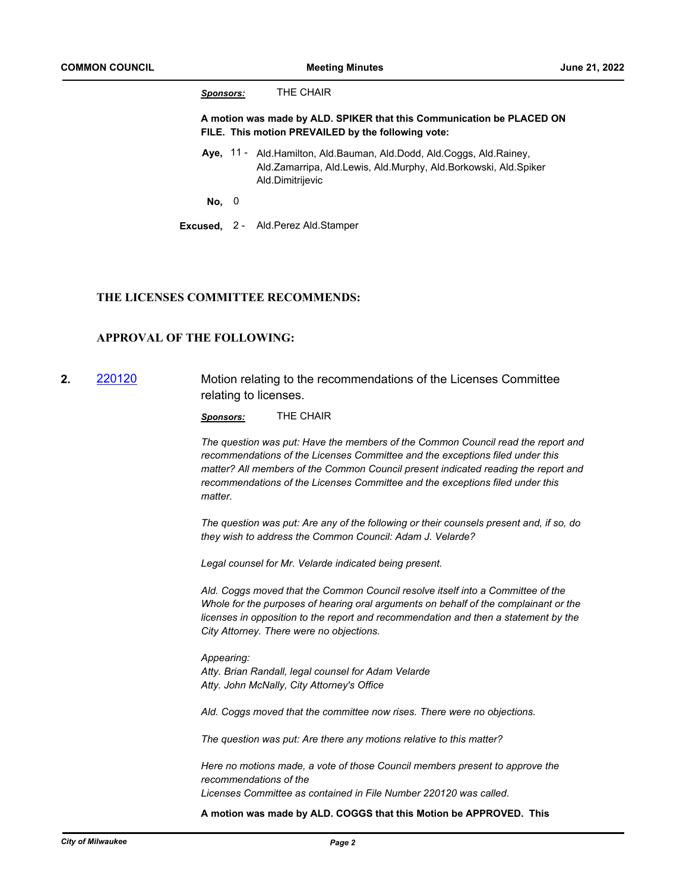*Sponsors:* THE CHAIR

**A motion was made by ALD. SPIKER that this Communication be PLACED ON FILE. This motion PREVAILED by the following vote:**

Aye, 11 - Ald.Hamilton, Ald.Bauman, Ald.Dodd, Ald.Coggs, Ald.Rainey, Ald.Zamarripa, Ald.Lewis, Ald.Murphy, Ald.Borkowski, Ald.Spiker Ald.Dimitrijevic

**No,** 0

**Excused,** 2 - Ald.Perez Ald.Stamper

#### **THE LICENSES COMMITTEE RECOMMENDS:**

# **APPROVAL OF THE FOLLOWING:**

**2.** [220120](http://milwaukee.legistar.com/gateway.aspx?m=l&id=/matter.aspx?key=62171) Motion relating to the recommendations of the Licenses Committee relating to licenses.

*Sponsors:* THE CHAIR

*The question was put: Have the members of the Common Council read the report and recommendations of the Licenses Committee and the exceptions filed under this matter? All members of the Common Council present indicated reading the report and recommendations of the Licenses Committee and the exceptions filed under this matter.*

*The question was put: Are any of the following or their counsels present and, if so, do they wish to address the Common Council: Adam J. Velarde?* 

*Legal counsel for Mr. Velarde indicated being present.*

*Ald. Coggs moved that the Common Council resolve itself into a Committee of the Whole for the purposes of hearing oral arguments on behalf of the complainant or the licenses in opposition to the report and recommendation and then a statement by the City Attorney. There were no objections.*

*Appearing: Atty. Brian Randall, legal counsel for Adam Velarde Atty. John McNally, City Attorney's Office*

*Ald. Coggs moved that the committee now rises. There were no objections.*

*The question was put: Are there any motions relative to this matter?*

*Here no motions made, a vote of those Council members present to approve the recommendations of the Licenses Committee as contained in File Number 220120 was called.*

**A motion was made by ALD. COGGS that this Motion be APPROVED. This**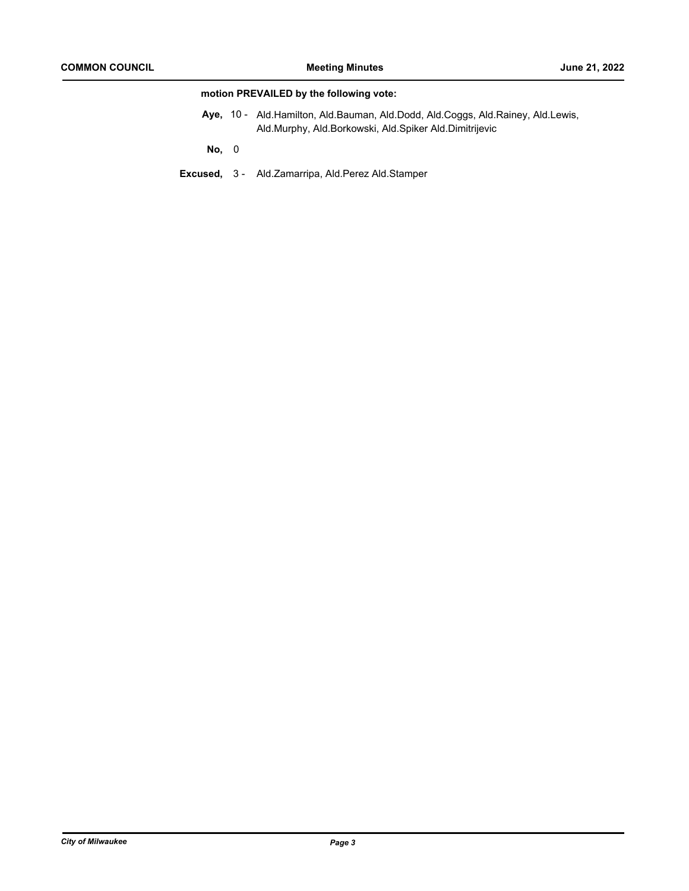# **motion PREVAILED by the following vote:**

Aye, 10 - Ald.Hamilton, Ald.Bauman, Ald.Dodd, Ald.Coggs, Ald.Rainey, Ald.Lewis, Ald.Murphy, Ald.Borkowski, Ald.Spiker Ald.Dimitrijevic

**No,** 0

**Excused,** 3 - Ald.Zamarripa, Ald.Perez Ald.Stamper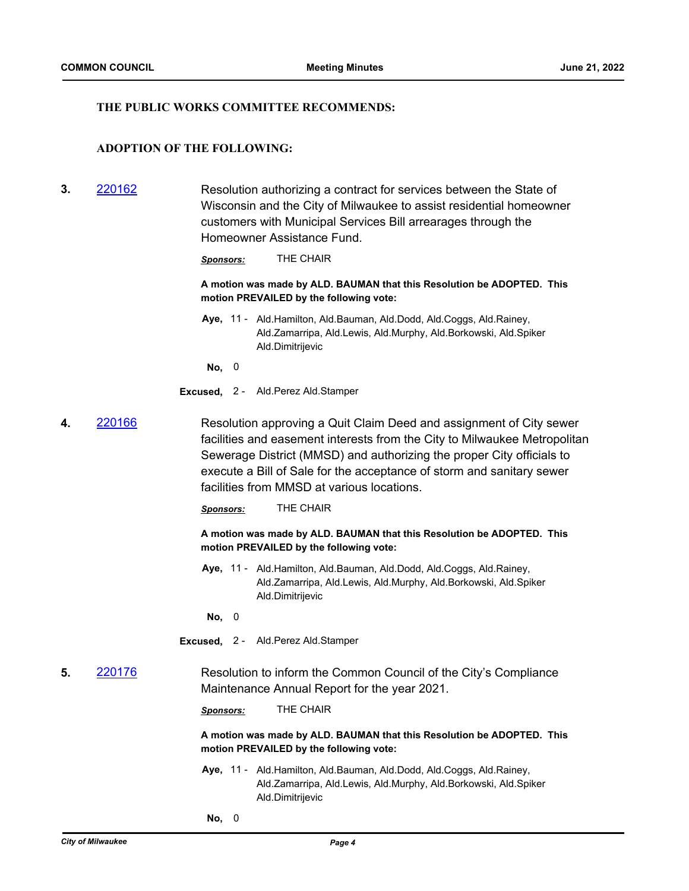#### **THE PUBLIC WORKS COMMITTEE RECOMMENDS:**

# **ADOPTION OF THE FOLLOWING:**

**3.** [220162](http://milwaukee.legistar.com/gateway.aspx?m=l&id=/matter.aspx?key=62269) Resolution authorizing a contract for services between the State of Wisconsin and the City of Milwaukee to assist residential homeowner customers with Municipal Services Bill arrearages through the Homeowner Assistance Fund.

*Sponsors:* THE CHAIR

**A motion was made by ALD. BAUMAN that this Resolution be ADOPTED. This motion PREVAILED by the following vote:**

Aye, 11 - Ald.Hamilton, Ald.Bauman, Ald.Dodd, Ald.Coggs, Ald.Rainey, Ald.Zamarripa, Ald.Lewis, Ald.Murphy, Ald.Borkowski, Ald.Spiker Ald.Dimitrijevic

**No,** 0

- **Excused,** 2 Ald.Perez Ald.Stamper
- **4.** [220166](http://milwaukee.legistar.com/gateway.aspx?m=l&id=/matter.aspx?key=62277) Resolution approving a Quit Claim Deed and assignment of City sewer facilities and easement interests from the City to Milwaukee Metropolitan Sewerage District (MMSD) and authorizing the proper City officials to execute a Bill of Sale for the acceptance of storm and sanitary sewer facilities from MMSD at various locations.

*Sponsors:* THE CHAIR

**A motion was made by ALD. BAUMAN that this Resolution be ADOPTED. This motion PREVAILED by the following vote:**

Aye, 11 - Ald.Hamilton, Ald.Bauman, Ald.Dodd, Ald.Coggs, Ald.Rainey, Ald.Zamarripa, Ald.Lewis, Ald.Murphy, Ald.Borkowski, Ald.Spiker Ald.Dimitrijevic

**No,** 0

- **Excused,** 2 Ald.Perez Ald.Stamper
- **5.** [220176](http://milwaukee.legistar.com/gateway.aspx?m=l&id=/matter.aspx?key=62287) Resolution to inform the Common Council of the City's Compliance Maintenance Annual Report for the year 2021.

*Sponsors:* THE CHAIR

**A motion was made by ALD. BAUMAN that this Resolution be ADOPTED. This motion PREVAILED by the following vote:**

Aye, 11 - Ald.Hamilton, Ald.Bauman, Ald.Dodd, Ald.Coggs, Ald.Rainey, Ald.Zamarripa, Ald.Lewis, Ald.Murphy, Ald.Borkowski, Ald.Spiker Ald.Dimitrijevic

**No,** 0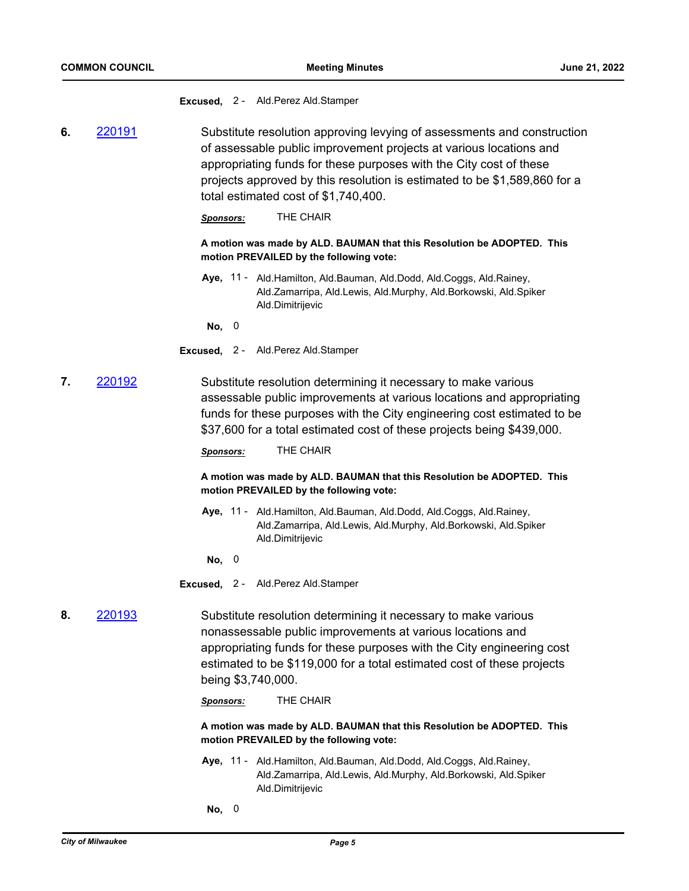**Excused,** 2 - Ald.Perez Ald.Stamper

**6.** [220191](http://milwaukee.legistar.com/gateway.aspx?m=l&id=/matter.aspx?key=62300) Substitute resolution approving levying of assessments and construction of assessable public improvement projects at various locations and appropriating funds for these purposes with the City cost of these projects approved by this resolution is estimated to be \$1,589,860 for a total estimated cost of \$1,740,400.

*Sponsors:* THE CHAIR

**A motion was made by ALD. BAUMAN that this Resolution be ADOPTED. This motion PREVAILED by the following vote:**

Aye, 11 - Ald.Hamilton, Ald.Bauman, Ald.Dodd, Ald.Coggs, Ald.Rainey, Ald.Zamarripa, Ald.Lewis, Ald.Murphy, Ald.Borkowski, Ald.Spiker Ald.Dimitrijevic

**No,** 0

- **Excused,** 2 Ald.Perez Ald.Stamper
- **7.** [220192](http://milwaukee.legistar.com/gateway.aspx?m=l&id=/matter.aspx?key=62301) Substitute resolution determining it necessary to make various assessable public improvements at various locations and appropriating funds for these purposes with the City engineering cost estimated to be \$37,600 for a total estimated cost of these projects being \$439,000.

*Sponsors:* THE CHAIR

**A motion was made by ALD. BAUMAN that this Resolution be ADOPTED. This motion PREVAILED by the following vote:**

- Aye, 11 Ald.Hamilton, Ald.Bauman, Ald.Dodd, Ald.Coggs, Ald.Rainey, Ald.Zamarripa, Ald.Lewis, Ald.Murphy, Ald.Borkowski, Ald.Spiker Ald.Dimitrijevic
- **No,** 0
- **Excused,** 2 Ald.Perez Ald.Stamper

# **8.** [220193](http://milwaukee.legistar.com/gateway.aspx?m=l&id=/matter.aspx?key=62302) Substitute resolution determining it necessary to make various nonassessable public improvements at various locations and appropriating funds for these purposes with the City engineering cost estimated to be \$119,000 for a total estimated cost of these projects being \$3,740,000.

*Sponsors:* THE CHAIR

**A motion was made by ALD. BAUMAN that this Resolution be ADOPTED. This motion PREVAILED by the following vote:**

- Aye, 11 Ald.Hamilton, Ald.Bauman, Ald.Dodd, Ald.Coggs, Ald.Rainey, Ald.Zamarripa, Ald.Lewis, Ald.Murphy, Ald.Borkowski, Ald.Spiker Ald.Dimitrijevic
- **No,** 0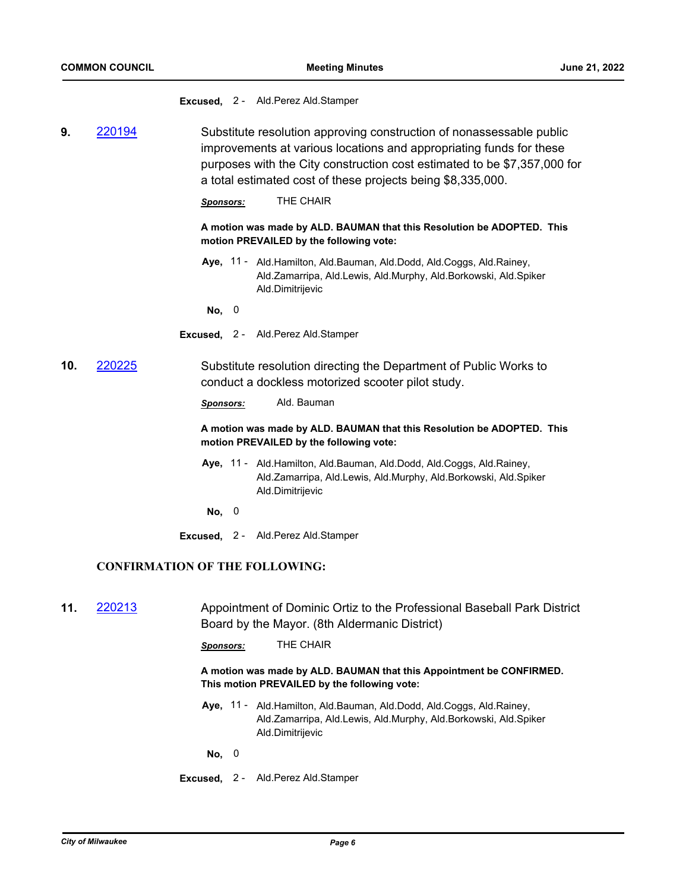**Excused,** 2 - Ald.Perez Ald.Stamper

**9.** [220194](http://milwaukee.legistar.com/gateway.aspx?m=l&id=/matter.aspx?key=62303) Substitute resolution approving construction of nonassessable public improvements at various locations and appropriating funds for these purposes with the City construction cost estimated to be \$7,357,000 for a total estimated cost of these projects being \$8,335,000.

*Sponsors:* THE CHAIR

**A motion was made by ALD. BAUMAN that this Resolution be ADOPTED. This motion PREVAILED by the following vote:**

Aye, 11 - Ald.Hamilton, Ald.Bauman, Ald.Dodd, Ald.Coggs, Ald.Rainey, Ald.Zamarripa, Ald.Lewis, Ald.Murphy, Ald.Borkowski, Ald.Spiker Ald.Dimitrijevic

**No,** 0

**Excused,** 2 - Ald.Perez Ald.Stamper

**10.** [220225](http://milwaukee.legistar.com/gateway.aspx?m=l&id=/matter.aspx?key=62353) Substitute resolution directing the Department of Public Works to conduct a dockless motorized scooter pilot study.

*Sponsors:* Ald. Bauman

**A motion was made by ALD. BAUMAN that this Resolution be ADOPTED. This motion PREVAILED by the following vote:**

- Aye, 11 Ald.Hamilton, Ald.Bauman, Ald.Dodd, Ald.Coggs, Ald.Rainey, Ald.Zamarripa, Ald.Lewis, Ald.Murphy, Ald.Borkowski, Ald.Spiker Ald.Dimitrijevic
- **No,** 0
- **Excused,** 2 Ald.Perez Ald.Stamper

#### **CONFIRMATION OF THE FOLLOWING:**

- **11.** [220213](http://milwaukee.legistar.com/gateway.aspx?m=l&id=/matter.aspx?key=62340) Appointment of Dominic Ortiz to the Professional Baseball Park District Board by the Mayor. (8th Aldermanic District)
	- *Sponsors:* THE CHAIR

**A motion was made by ALD. BAUMAN that this Appointment be CONFIRMED. This motion PREVAILED by the following vote:**

Aye, 11 - Ald.Hamilton, Ald.Bauman, Ald.Dodd, Ald.Coggs, Ald.Rainey, Ald.Zamarripa, Ald.Lewis, Ald.Murphy, Ald.Borkowski, Ald.Spiker Ald.Dimitrijevic

**No,** 0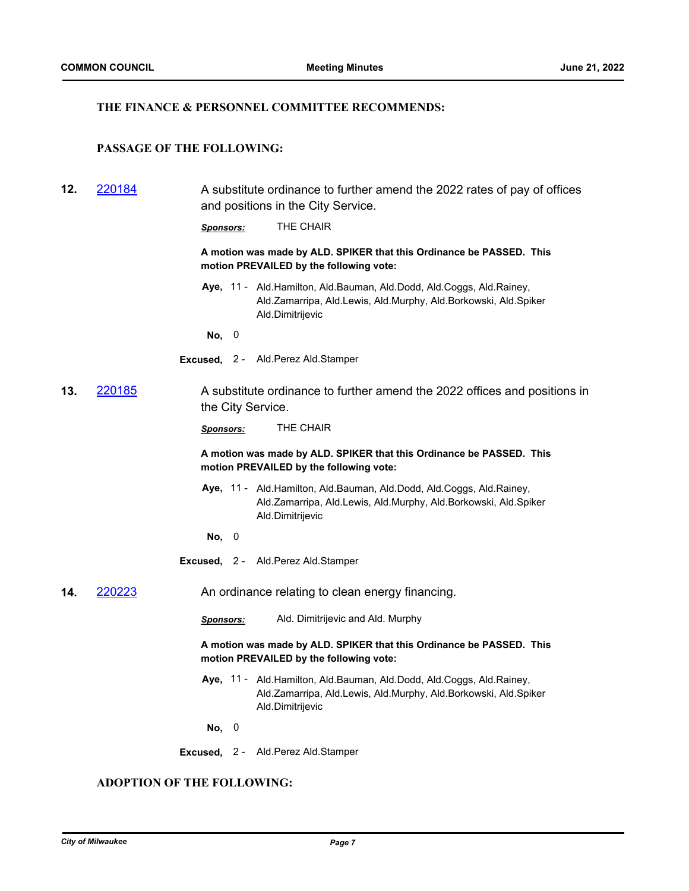#### **THE FINANCE & PERSONNEL COMMITTEE RECOMMENDS:**

# **PASSAGE OF THE FOLLOWING:**

**12.** [220184](http://milwaukee.legistar.com/gateway.aspx?m=l&id=/matter.aspx?key=62293) A substitute ordinance to further amend the 2022 rates of pay of offices and positions in the City Service. *Sponsors:* THE CHAIR **A motion was made by ALD. SPIKER that this Ordinance be PASSED. This motion PREVAILED by the following vote:** Aye, 11 - Ald.Hamilton, Ald.Bauman, Ald.Dodd, Ald.Coggs, Ald.Rainey, Ald.Zamarripa, Ald.Lewis, Ald.Murphy, Ald.Borkowski, Ald.Spiker Ald.Dimitrijevic **No,** 0 **Excused,** 2 - Ald.Perez Ald.Stamper **13.** [220185](http://milwaukee.legistar.com/gateway.aspx?m=l&id=/matter.aspx?key=62294) A substitute ordinance to further amend the 2022 offices and positions in the City Service. *Sponsors:* THE CHAIR **A motion was made by ALD. SPIKER that this Ordinance be PASSED. This motion PREVAILED by the following vote:** Aye, 11 - Ald.Hamilton, Ald.Bauman, Ald.Dodd, Ald.Coggs, Ald.Rainey, Ald.Zamarripa, Ald.Lewis, Ald.Murphy, Ald.Borkowski, Ald.Spiker Ald.Dimitrijevic **No,** 0 **Excused,** 2 - Ald.Perez Ald.Stamper **14.** [220223](http://milwaukee.legistar.com/gateway.aspx?m=l&id=/matter.aspx?key=62351) An ordinance relating to clean energy financing. *Sponsors:* Ald. Dimitrijevic and Ald. Murphy **A motion was made by ALD. SPIKER that this Ordinance be PASSED. This motion PREVAILED by the following vote:** Aye, 11 - Ald.Hamilton, Ald.Bauman, Ald.Dodd, Ald.Coggs, Ald.Rainey, Ald.Zamarripa, Ald.Lewis, Ald.Murphy, Ald.Borkowski, Ald.Spiker Ald.Dimitrijevic **No,** 0 **Excused,** 2 - Ald.Perez Ald.Stamper

# **ADOPTION OF THE FOLLOWING:**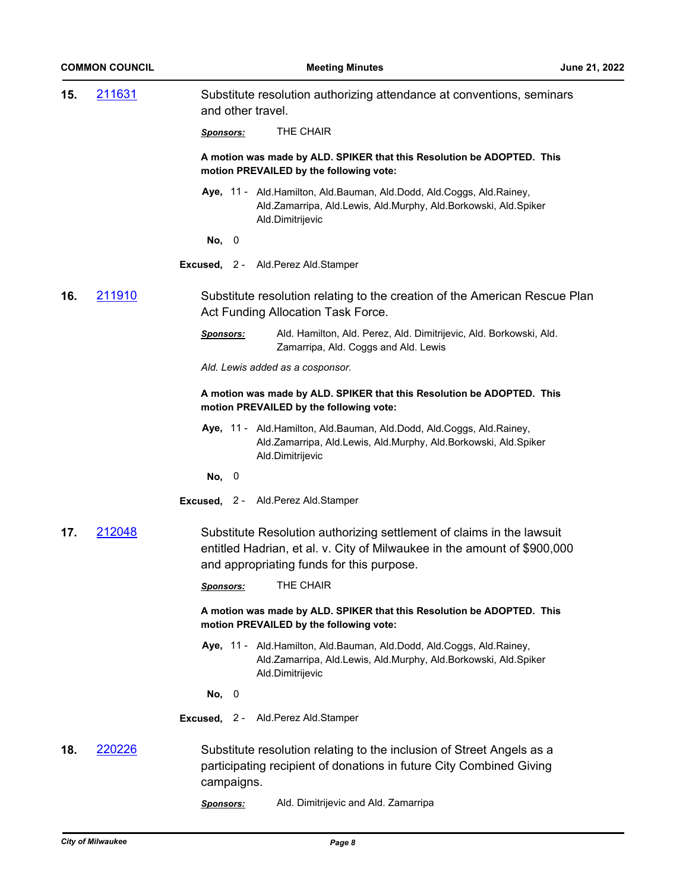| 15. | 211631 | Substitute resolution authorizing attendance at conventions, seminars<br>and other travel.                                                                                                     |
|-----|--------|------------------------------------------------------------------------------------------------------------------------------------------------------------------------------------------------|
|     |        | THE CHAIR<br><u>Sponsors:</u>                                                                                                                                                                  |
|     |        | A motion was made by ALD. SPIKER that this Resolution be ADOPTED. This<br>motion PREVAILED by the following vote:                                                                              |
|     |        | Aye, 11 - Ald. Hamilton, Ald. Bauman, Ald. Dodd, Ald. Coggs, Ald. Rainey,<br>Ald.Zamarripa, Ald.Lewis, Ald.Murphy, Ald.Borkowski, Ald.Spiker<br>Ald.Dimitrijevic                               |
|     |        | No, $0$                                                                                                                                                                                        |
|     |        | Excused, 2 - Ald. Perez Ald. Stamper                                                                                                                                                           |
| 16. | 211910 | Substitute resolution relating to the creation of the American Rescue Plan<br>Act Funding Allocation Task Force.                                                                               |
|     |        | Ald. Hamilton, Ald. Perez, Ald. Dimitrijevic, Ald. Borkowski, Ald.<br><u>Sponsors:</u><br>Zamarripa, Ald. Coggs and Ald. Lewis                                                                 |
|     |        | Ald. Lewis added as a cosponsor.                                                                                                                                                               |
|     |        | A motion was made by ALD. SPIKER that this Resolution be ADOPTED. This<br>motion PREVAILED by the following vote:                                                                              |
|     |        | Aye, 11 - Ald.Hamilton, Ald.Bauman, Ald.Dodd, Ald.Coggs, Ald.Rainey,<br>Ald.Zamarripa, Ald.Lewis, Ald.Murphy, Ald.Borkowski, Ald.Spiker<br>Ald.Dimitrijevic                                    |
|     |        | No, 0                                                                                                                                                                                          |
|     |        | Excused, 2 - Ald. Perez Ald. Stamper                                                                                                                                                           |
| 17. | 212048 | Substitute Resolution authorizing settlement of claims in the lawsuit<br>entitled Hadrian, et al. v. City of Milwaukee in the amount of \$900,000<br>and appropriating funds for this purpose. |
|     |        | THE CHAIR<br><u>Sponsors:</u>                                                                                                                                                                  |
|     |        | A motion was made by ALD. SPIKER that this Resolution be ADOPTED. This<br>motion PREVAILED by the following vote:                                                                              |
|     |        | Aye, 11 - Ald. Hamilton, Ald. Bauman, Ald. Dodd, Ald. Coggs, Ald. Rainey,<br>Ald.Zamarripa, Ald.Lewis, Ald.Murphy, Ald.Borkowski, Ald.Spiker<br>Ald.Dimitrijevic                               |
|     |        | No, 0                                                                                                                                                                                          |
|     |        | Excused, 2 - Ald. Perez Ald. Stamper                                                                                                                                                           |
| 18. | 220226 | Substitute resolution relating to the inclusion of Street Angels as a<br>participating recipient of donations in future City Combined Giving<br>campaigns.                                     |
|     |        | Ald. Dimitrijevic and Ald. Zamarripa<br>Sponsors:                                                                                                                                              |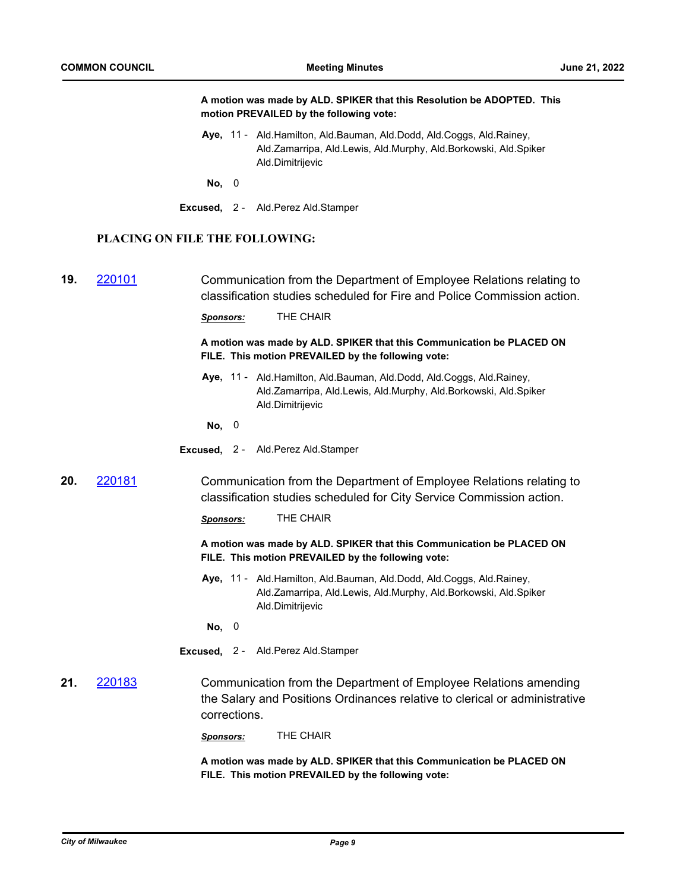|     |                                |                  | A motion was made by ALD. SPIKER that this Resolution be ADOPTED. This<br>motion PREVAILED by the following vote:                                                |
|-----|--------------------------------|------------------|------------------------------------------------------------------------------------------------------------------------------------------------------------------|
|     |                                |                  | Aye, 11 - Ald. Hamilton, Ald. Bauman, Ald. Dodd, Ald. Coggs, Ald. Rainey,<br>Ald.Zamarripa, Ald.Lewis, Ald.Murphy, Ald.Borkowski, Ald.Spiker<br>Ald.Dimitrijevic |
|     |                                | No, 0            |                                                                                                                                                                  |
|     |                                |                  | Excused, 2 - Ald.Perez Ald.Stamper                                                                                                                               |
|     | PLACING ON FILE THE FOLLOWING: |                  |                                                                                                                                                                  |
| 19. | 220101                         |                  | Communication from the Department of Employee Relations relating to<br>classification studies scheduled for Fire and Police Commission action.                   |
|     |                                | Sponsors:        | THE CHAIR                                                                                                                                                        |
|     |                                |                  | A motion was made by ALD. SPIKER that this Communication be PLACED ON<br>FILE. This motion PREVAILED by the following vote:                                      |
|     |                                |                  | Aye, 11 - Ald. Hamilton, Ald. Bauman, Ald. Dodd, Ald. Coggs, Ald. Rainey,<br>Ald.Zamarripa, Ald.Lewis, Ald.Murphy, Ald.Borkowski, Ald.Spiker<br>Ald.Dimitrijevic |
|     |                                | No, 0            |                                                                                                                                                                  |
|     |                                |                  | Excused, 2 - Ald.Perez Ald.Stamper                                                                                                                               |
| 20. | 220181                         |                  | Communication from the Department of Employee Relations relating to<br>classification studies scheduled for City Service Commission action.                      |
|     |                                | Sponsors:        | THE CHAIR                                                                                                                                                        |
|     |                                |                  | A motion was made by ALD. SPIKER that this Communication be PLACED ON<br>FILE. This motion PREVAILED by the following vote:                                      |
|     |                                |                  | Aye, 11 - Ald. Hamilton, Ald. Bauman, Ald. Dodd, Ald. Coggs, Ald. Rainey,<br>Ald.Zamarripa, Ald.Lewis, Ald.Murphy, Ald.Borkowski, Ald.Spiker<br>Ald.Dimitrijevic |
|     |                                | No, 0            |                                                                                                                                                                  |
|     |                                |                  | Excused, 2 - Ald. Perez Ald. Stamper                                                                                                                             |
| 21. | 220183                         | corrections.     | Communication from the Department of Employee Relations amending<br>the Salary and Positions Ordinances relative to clerical or administrative                   |
|     |                                | <u>Sponsors:</u> | THE CHAIR                                                                                                                                                        |
|     |                                |                  | A motion was mado by ALD, SDIKED that this Communication bo DLACED ON                                                                                            |

**A motion was made by ALD. SPIKER that this Communication be PLACED ON FILE. This motion PREVAILED by the following vote:**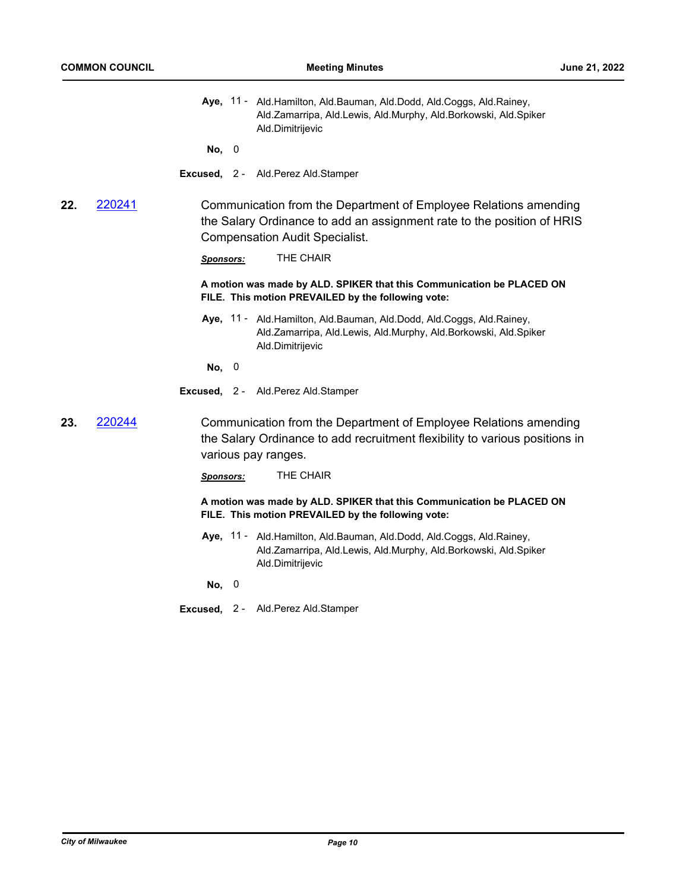- Aye, 11 Ald.Hamilton, Ald.Bauman, Ald.Dodd, Ald.Coggs, Ald.Rainey, Ald.Zamarripa, Ald.Lewis, Ald.Murphy, Ald.Borkowski, Ald.Spiker Ald.Dimitrijevic
- **No,** 0
- **Excused,** 2 Ald.Perez Ald.Stamper
- **22.** [220241](http://milwaukee.legistar.com/gateway.aspx?m=l&id=/matter.aspx?key=62398) Communication from the Department of Employee Relations amending the Salary Ordinance to add an assignment rate to the position of HRIS Compensation Audit Specialist.

*Sponsors:* THE CHAIR

**A motion was made by ALD. SPIKER that this Communication be PLACED ON FILE. This motion PREVAILED by the following vote:**

Aye, 11 - Ald.Hamilton, Ald.Bauman, Ald.Dodd, Ald.Coggs, Ald.Rainey, Ald.Zamarripa, Ald.Lewis, Ald.Murphy, Ald.Borkowski, Ald.Spiker Ald.Dimitrijevic

**No,** 0

- **Excused,** 2 Ald.Perez Ald.Stamper
- **23.** [220244](http://milwaukee.legistar.com/gateway.aspx?m=l&id=/matter.aspx?key=62405) Communication from the Department of Employee Relations amending the Salary Ordinance to add recruitment flexibility to various positions in various pay ranges.

*Sponsors:* THE CHAIR

**A motion was made by ALD. SPIKER that this Communication be PLACED ON FILE. This motion PREVAILED by the following vote:**

Aye, 11 - Ald.Hamilton, Ald.Bauman, Ald.Dodd, Ald.Coggs, Ald.Rainey, Ald.Zamarripa, Ald.Lewis, Ald.Murphy, Ald.Borkowski, Ald.Spiker Ald.Dimitrijevic

**No,** 0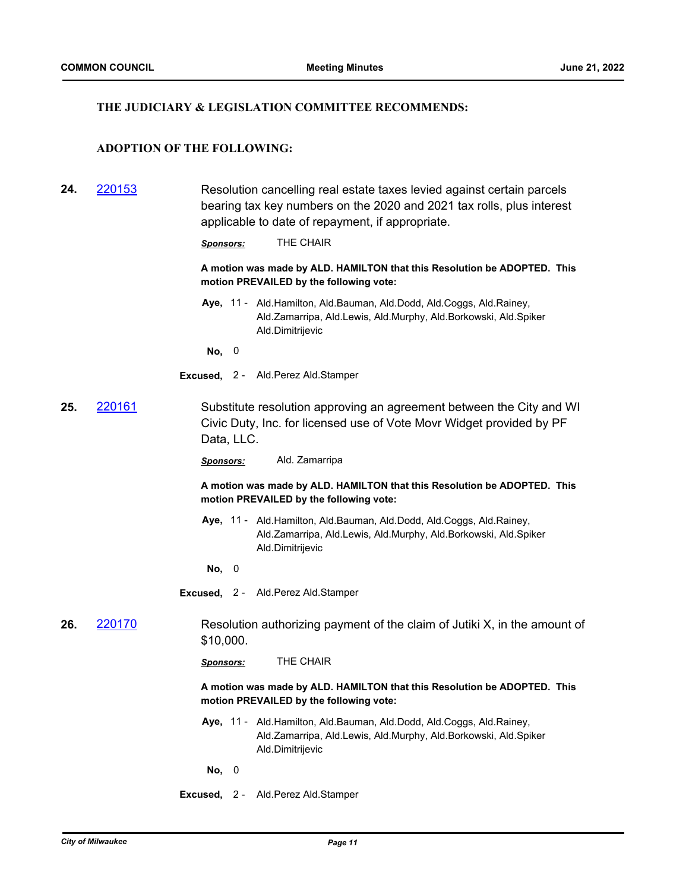#### **THE JUDICIARY & LEGISLATION COMMITTEE RECOMMENDS:**

# **ADOPTION OF THE FOLLOWING:**

**24.** [220153](http://milwaukee.legistar.com/gateway.aspx?m=l&id=/matter.aspx?key=62253) Resolution cancelling real estate taxes levied against certain parcels bearing tax key numbers on the 2020 and 2021 tax rolls, plus interest applicable to date of repayment, if appropriate.

*Sponsors:* THE CHAIR

**A motion was made by ALD. HAMILTON that this Resolution be ADOPTED. This motion PREVAILED by the following vote:**

Aye, 11 - Ald.Hamilton, Ald.Bauman, Ald.Dodd, Ald.Coggs, Ald.Rainey, Ald.Zamarripa, Ald.Lewis, Ald.Murphy, Ald.Borkowski, Ald.Spiker Ald.Dimitrijevic

**No,** 0

- **Excused,** 2 Ald.Perez Ald.Stamper
- **25.** [220161](http://milwaukee.legistar.com/gateway.aspx?m=l&id=/matter.aspx?key=62267) Substitute resolution approving an agreement between the City and WI Civic Duty, Inc. for licensed use of Vote Movr Widget provided by PF Data, LLC.

*Sponsors:* Ald. Zamarripa

**A motion was made by ALD. HAMILTON that this Resolution be ADOPTED. This motion PREVAILED by the following vote:**

Aye, 11 - Ald.Hamilton, Ald.Bauman, Ald.Dodd, Ald.Coggs, Ald.Rainey, Ald.Zamarripa, Ald.Lewis, Ald.Murphy, Ald.Borkowski, Ald.Spiker Ald.Dimitrijevic

**No,** 0

**Excused,** 2 - Ald.Perez Ald.Stamper

**26.** [220170](http://milwaukee.legistar.com/gateway.aspx?m=l&id=/matter.aspx?key=62281) Resolution authorizing payment of the claim of Jutiki X, in the amount of \$10,000.

*Sponsors:* THE CHAIR

**A motion was made by ALD. HAMILTON that this Resolution be ADOPTED. This motion PREVAILED by the following vote:**

- Aye, 11 Ald.Hamilton, Ald.Bauman, Ald.Dodd, Ald.Coggs, Ald.Rainey, Ald.Zamarripa, Ald.Lewis, Ald.Murphy, Ald.Borkowski, Ald.Spiker Ald.Dimitrijevic
- **No,** 0
- **Excused,** 2 Ald.Perez Ald.Stamper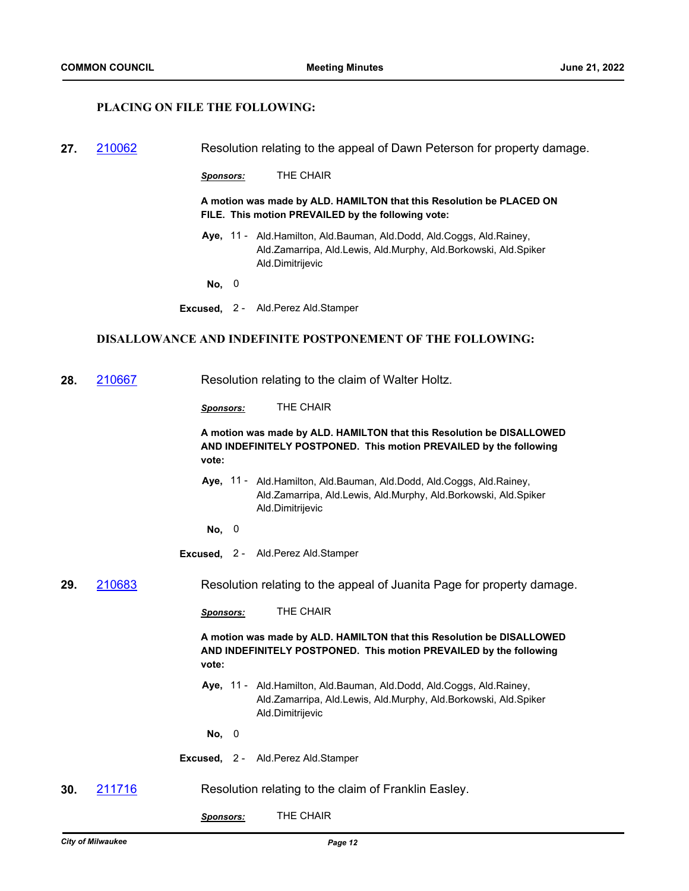## **PLACING ON FILE THE FOLLOWING:**

| 27. 210062 | Resolution relating to the appeal of Dawn Peterson for property damage. |
|------------|-------------------------------------------------------------------------|
|            |                                                                         |

*Sponsors:* THE CHAIR

**A motion was made by ALD. HAMILTON that this Resolution be PLACED ON FILE. This motion PREVAILED by the following vote:**

Aye, 11 - Ald.Hamilton, Ald.Bauman, Ald.Dodd, Ald.Coggs, Ald.Rainey, Ald.Zamarripa, Ald.Lewis, Ald.Murphy, Ald.Borkowski, Ald.Spiker Ald.Dimitrijevic

**No,** 0

**Excused,** 2 - Ald.Perez Ald.Stamper

#### **DISALLOWANCE AND INDEFINITE POSTPONEMENT OF THE FOLLOWING:**

**28.** [210667](http://milwaukee.legistar.com/gateway.aspx?m=l&id=/matter.aspx?key=59892) Resolution relating to the claim of Walter Holtz.

*Sponsors:* THE CHAIR

**A motion was made by ALD. HAMILTON that this Resolution be DISALLOWED AND INDEFINITELY POSTPONED. This motion PREVAILED by the following vote:**

- Aye, 11 Ald.Hamilton, Ald.Bauman, Ald.Dodd, Ald.Coggs, Ald.Rainey, Ald.Zamarripa, Ald.Lewis, Ald.Murphy, Ald.Borkowski, Ald.Spiker Ald.Dimitrijevic
- **No,** 0
- **Excused,** 2 Ald.Perez Ald.Stamper

**29.** [210683](http://milwaukee.legistar.com/gateway.aspx?m=l&id=/matter.aspx?key=59923) Resolution relating to the appeal of Juanita Page for property damage.

*Sponsors:* THE CHAIR

**A motion was made by ALD. HAMILTON that this Resolution be DISALLOWED AND INDEFINITELY POSTPONED. This motion PREVAILED by the following vote:**

- Aye, 11 Ald.Hamilton, Ald.Bauman, Ald.Dodd, Ald.Coggs, Ald.Rainey, Ald.Zamarripa, Ald.Lewis, Ald.Murphy, Ald.Borkowski, Ald.Spiker Ald.Dimitrijevic
- **No,** 0
- **Excused,** 2 Ald.Perez Ald.Stamper
- **30.** [211716](http://milwaukee.legistar.com/gateway.aspx?m=l&id=/matter.aspx?key=61475) Resolution relating to the claim of Franklin Easley.
	- *Sponsors:* THE CHAIR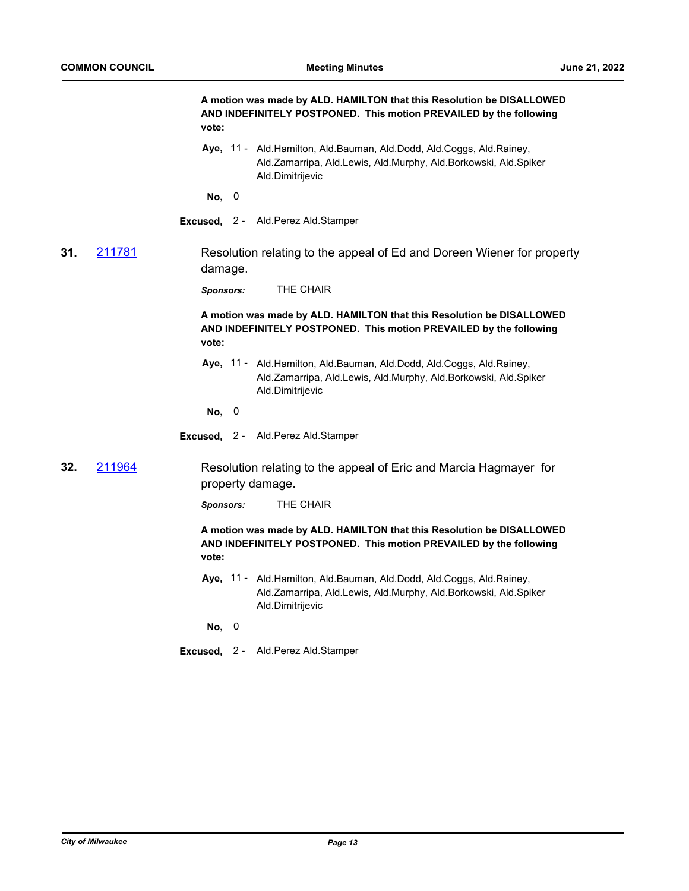**A motion was made by ALD. HAMILTON that this Resolution be DISALLOWED AND INDEFINITELY POSTPONED. This motion PREVAILED by the following vote:**

Aye, 11 - Ald.Hamilton, Ald.Bauman, Ald.Dodd, Ald.Coggs, Ald.Rainey, Ald.Zamarripa, Ald.Lewis, Ald.Murphy, Ald.Borkowski, Ald.Spiker Ald.Dimitrijevic

**No,** 0

**Excused,** 2 - Ald.Perez Ald.Stamper

**31.** [211781](http://milwaukee.legistar.com/gateway.aspx?m=l&id=/matter.aspx?key=61553) Resolution relating to the appeal of Ed and Doreen Wiener for property damage.

*Sponsors:* THE CHAIR

**A motion was made by ALD. HAMILTON that this Resolution be DISALLOWED AND INDEFINITELY POSTPONED. This motion PREVAILED by the following vote:**

Aye, 11 - Ald.Hamilton, Ald.Bauman, Ald.Dodd, Ald.Coggs, Ald.Rainey, Ald.Zamarripa, Ald.Lewis, Ald.Murphy, Ald.Borkowski, Ald.Spiker Ald.Dimitrijevic

**No,** 0

**Excused,** 2 - Ald.Perez Ald.Stamper

**32.** [211964](http://milwaukee.legistar.com/gateway.aspx?m=l&id=/matter.aspx?key=61863) Resolution relating to the appeal of Eric and Marcia Hagmayer for property damage.

*Sponsors:* THE CHAIR

**A motion was made by ALD. HAMILTON that this Resolution be DISALLOWED AND INDEFINITELY POSTPONED. This motion PREVAILED by the following vote:**

Aye, 11 - Ald.Hamilton, Ald.Bauman, Ald.Dodd, Ald.Coggs, Ald.Rainey, Ald.Zamarripa, Ald.Lewis, Ald.Murphy, Ald.Borkowski, Ald.Spiker Ald.Dimitrijevic

**No,** 0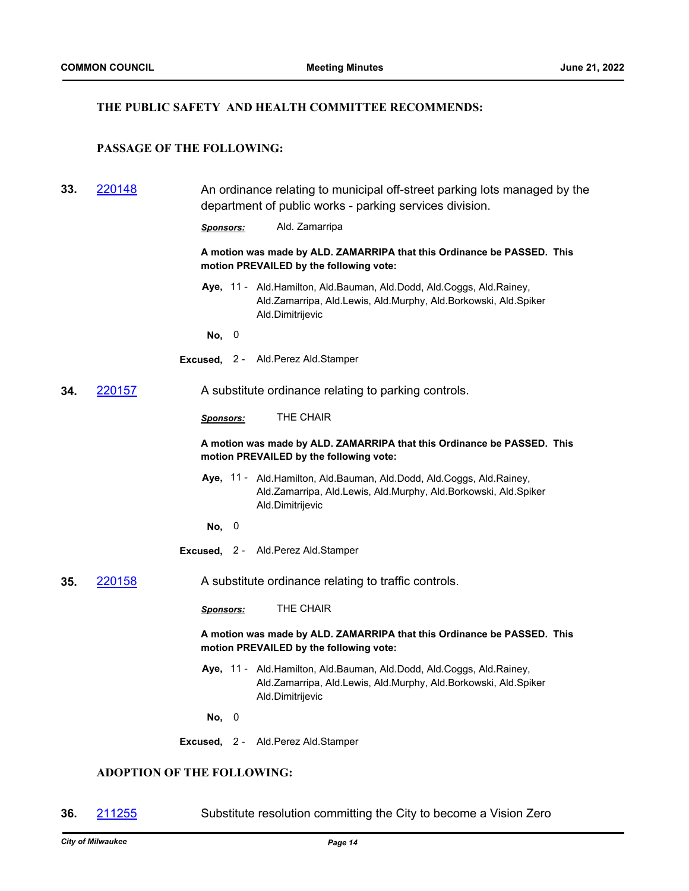# **THE PUBLIC SAFETY AND HEALTH COMMITTEE RECOMMENDS:**

# **PASSAGE OF THE FOLLOWING:**

| 33.                                                                                                                | 220148                                  |                  |                                                                         | An ordinance relating to municipal off-street parking lots managed by the<br>department of public works - parking services division.                        |  |
|--------------------------------------------------------------------------------------------------------------------|-----------------------------------------|------------------|-------------------------------------------------------------------------|-------------------------------------------------------------------------------------------------------------------------------------------------------------|--|
|                                                                                                                    |                                         | Sponsors:        |                                                                         | Ald. Zamarripa                                                                                                                                              |  |
|                                                                                                                    |                                         |                  |                                                                         | A motion was made by ALD. ZAMARRIPA that this Ordinance be PASSED. This<br>motion PREVAILED by the following vote:                                          |  |
|                                                                                                                    |                                         |                  |                                                                         | Aye, 11 - Ald.Hamilton, Ald.Bauman, Ald.Dodd, Ald.Coggs, Ald.Rainey,<br>Ald.Zamarripa, Ald.Lewis, Ald.Murphy, Ald.Borkowski, Ald.Spiker<br>Ald.Dimitrijevic |  |
|                                                                                                                    |                                         | No, 0            |                                                                         |                                                                                                                                                             |  |
|                                                                                                                    |                                         |                  |                                                                         | Excused, 2 - Ald. Perez Ald. Stamper                                                                                                                        |  |
| 34.                                                                                                                | <u>220157</u>                           |                  |                                                                         | A substitute ordinance relating to parking controls.                                                                                                        |  |
|                                                                                                                    |                                         | Sponsors:        |                                                                         | THE CHAIR                                                                                                                                                   |  |
| A motion was made by ALD. ZAMARRIPA that this Ordinance be PASSED. This<br>motion PREVAILED by the following vote: |                                         |                  |                                                                         |                                                                                                                                                             |  |
|                                                                                                                    |                                         |                  |                                                                         | Aye, 11 - Ald.Hamilton, Ald.Bauman, Ald.Dodd, Ald.Coggs, Ald.Rainey,<br>Ald.Zamarripa, Ald.Lewis, Ald.Murphy, Ald.Borkowski, Ald.Spiker<br>Ald.Dimitrijevic |  |
|                                                                                                                    |                                         | No, 0            |                                                                         |                                                                                                                                                             |  |
|                                                                                                                    |                                         |                  |                                                                         | Excused, 2 - Ald.Perez Ald.Stamper                                                                                                                          |  |
| 35.                                                                                                                | 220158                                  |                  |                                                                         | A substitute ordinance relating to traffic controls.                                                                                                        |  |
|                                                                                                                    |                                         | <b>Sponsors:</b> |                                                                         | THE CHAIR                                                                                                                                                   |  |
|                                                                                                                    | motion PREVAILED by the following vote: |                  | A motion was made by ALD. ZAMARRIPA that this Ordinance be PASSED. This |                                                                                                                                                             |  |
|                                                                                                                    |                                         |                  |                                                                         | Aye, 11 - Ald.Hamilton, Ald.Bauman, Ald.Dodd, Ald.Coggs, Ald.Rainey,<br>Ald.Zamarripa, Ald.Lewis, Ald.Murphy, Ald.Borkowski, Ald.Spiker<br>Ald.Dimitrijevic |  |
|                                                                                                                    |                                         | No, 0            |                                                                         |                                                                                                                                                             |  |
|                                                                                                                    |                                         |                  |                                                                         | Excused, 2 - Ald.Perez Ald.Stamper                                                                                                                          |  |
|                                                                                                                    | <b>ADOPTION OF THE FOLLOWING:</b>       |                  |                                                                         |                                                                                                                                                             |  |

# **36.** [211255](http://milwaukee.legistar.com/gateway.aspx?m=l&id=/matter.aspx?key=60806) Substitute resolution committing the City to become a Vision Zero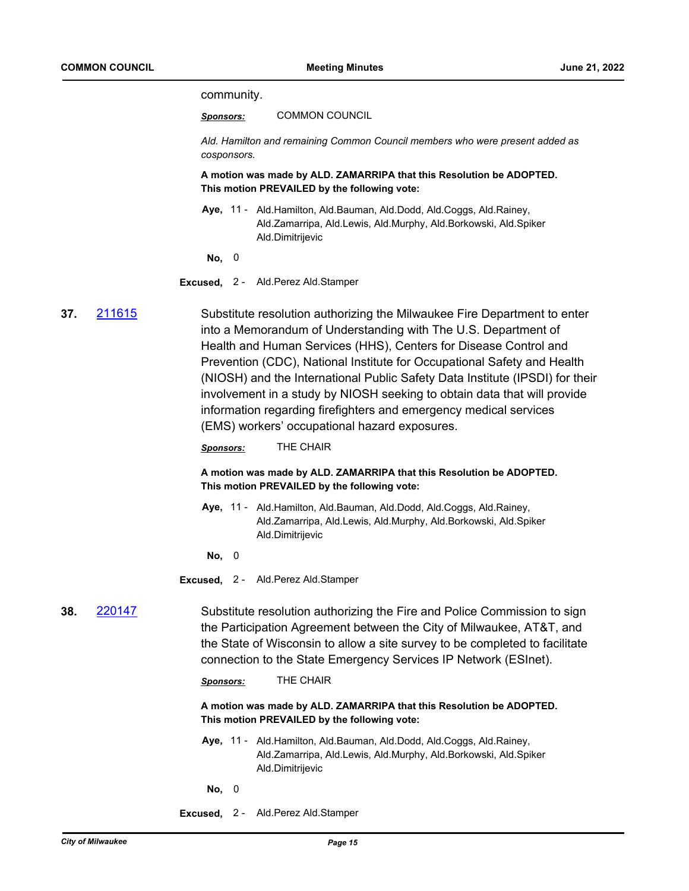community.

*Sponsors:* COMMON COUNCIL

*Ald. Hamilton and remaining Common Council members who were present added as cosponsors.*

**A motion was made by ALD. ZAMARRIPA that this Resolution be ADOPTED. This motion PREVAILED by the following vote:**

- Aye, 11 Ald.Hamilton, Ald.Bauman, Ald.Dodd, Ald.Coggs, Ald.Rainey, Ald.Zamarripa, Ald.Lewis, Ald.Murphy, Ald.Borkowski, Ald.Spiker Ald.Dimitrijevic
- **No,** 0

**Excused,** 2 - Ald.Perez Ald.Stamper

**37.** [211615](http://milwaukee.legistar.com/gateway.aspx?m=l&id=/matter.aspx?key=61325) Substitute resolution authorizing the Milwaukee Fire Department to enter into a Memorandum of Understanding with The U.S. Department of Health and Human Services (HHS), Centers for Disease Control and Prevention (CDC), National Institute for Occupational Safety and Health (NIOSH) and the International Public Safety Data Institute (IPSDI) for their involvement in a study by NIOSH seeking to obtain data that will provide information regarding firefighters and emergency medical services (EMS) workers' occupational hazard exposures.

*Sponsors:* THE CHAIR

**A motion was made by ALD. ZAMARRIPA that this Resolution be ADOPTED. This motion PREVAILED by the following vote:**

Aye, 11 - Ald.Hamilton, Ald.Bauman, Ald.Dodd, Ald.Coggs, Ald.Rainey, Ald.Zamarripa, Ald.Lewis, Ald.Murphy, Ald.Borkowski, Ald.Spiker Ald.Dimitrijevic

**No,** 0

**Excused,** 2 - Ald.Perez Ald.Stamper

**38.** [220147](http://milwaukee.legistar.com/gateway.aspx?m=l&id=/matter.aspx?key=62240) Substitute resolution authorizing the Fire and Police Commission to sign the Participation Agreement between the City of Milwaukee, AT&T, and the State of Wisconsin to allow a site survey to be completed to facilitate connection to the State Emergency Services IP Network (ESInet).

*Sponsors:* THE CHAIR

**A motion was made by ALD. ZAMARRIPA that this Resolution be ADOPTED. This motion PREVAILED by the following vote:**

Aye, 11 - Ald.Hamilton, Ald.Bauman, Ald.Dodd, Ald.Coggs, Ald.Rainey, Ald.Zamarripa, Ald.Lewis, Ald.Murphy, Ald.Borkowski, Ald.Spiker Ald.Dimitrijevic

**No,** 0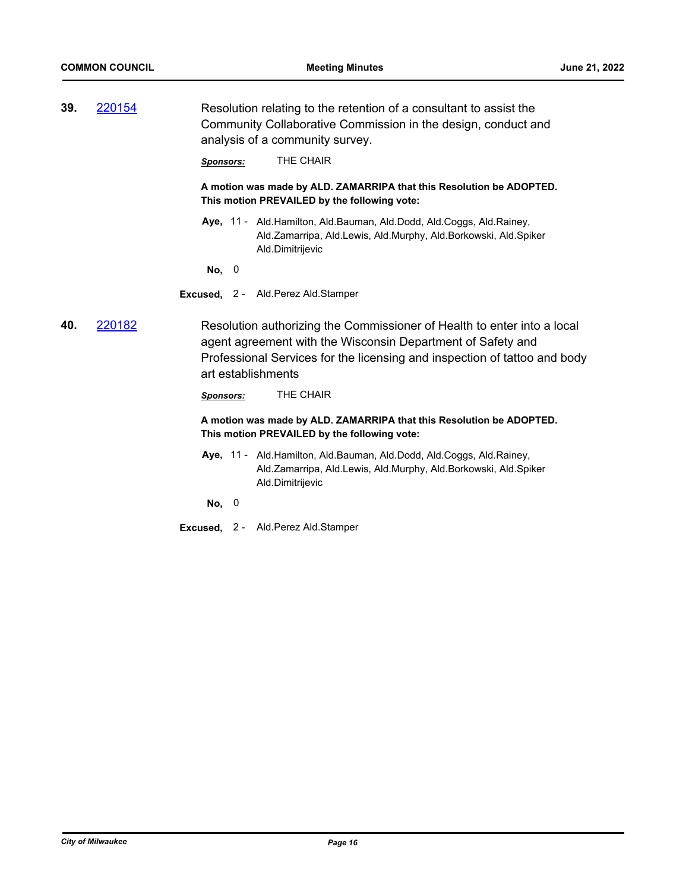**39.** [220154](http://milwaukee.legistar.com/gateway.aspx?m=l&id=/matter.aspx?key=62255) Resolution relating to the retention of a consultant to assist the Community Collaborative Commission in the design, conduct and analysis of a community survey.

*Sponsors:* THE CHAIR

**A motion was made by ALD. ZAMARRIPA that this Resolution be ADOPTED. This motion PREVAILED by the following vote:**

Aye, 11 - Ald.Hamilton, Ald.Bauman, Ald.Dodd, Ald.Coggs, Ald.Rainey, Ald.Zamarripa, Ald.Lewis, Ald.Murphy, Ald.Borkowski, Ald.Spiker Ald.Dimitrijevic

**No,** 0

**Excused,** 2 - Ald.Perez Ald.Stamper

**40.** [220182](http://milwaukee.legistar.com/gateway.aspx?m=l&id=/matter.aspx?key=62290) Resolution authorizing the Commissioner of Health to enter into a local agent agreement with the Wisconsin Department of Safety and Professional Services for the licensing and inspection of tattoo and body art establishments

*Sponsors:* THE CHAIR

**A motion was made by ALD. ZAMARRIPA that this Resolution be ADOPTED. This motion PREVAILED by the following vote:**

Aye, 11 - Ald.Hamilton, Ald.Bauman, Ald.Dodd, Ald.Coggs, Ald.Rainey, Ald.Zamarripa, Ald.Lewis, Ald.Murphy, Ald.Borkowski, Ald.Spiker Ald.Dimitrijevic

**No,** 0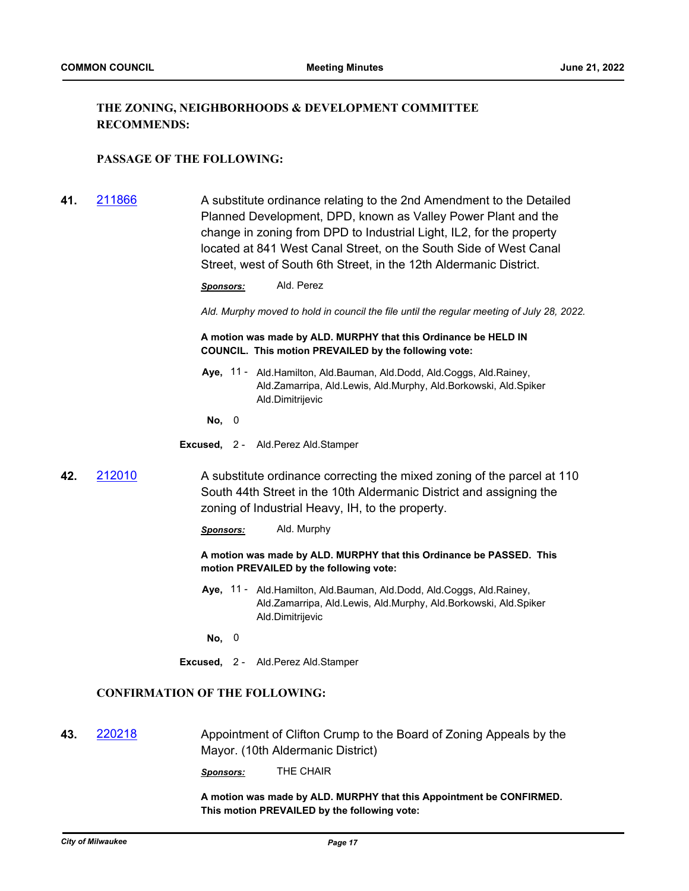# **THE ZONING, NEIGHBORHOODS & DEVELOPMENT COMMITTEE RECOMMENDS:**

## **PASSAGE OF THE FOLLOWING:**

**41.** [211866](http://milwaukee.legistar.com/gateway.aspx?m=l&id=/matter.aspx?key=61713) A substitute ordinance relating to the 2nd Amendment to the Detailed Planned Development, DPD, known as Valley Power Plant and the change in zoning from DPD to Industrial Light, IL2, for the property located at 841 West Canal Street, on the South Side of West Canal Street, west of South 6th Street, in the 12th Aldermanic District.

*Sponsors:* Ald. Perez

*Ald. Murphy moved to hold in council the file until the regular meeting of July 28, 2022.*

**A motion was made by ALD. MURPHY that this Ordinance be HELD IN COUNCIL. This motion PREVAILED by the following vote:**

Aye, 11 - Ald.Hamilton, Ald.Bauman, Ald.Dodd, Ald.Coggs, Ald.Rainey, Ald.Zamarripa, Ald.Lewis, Ald.Murphy, Ald.Borkowski, Ald.Spiker Ald.Dimitrijevic

**No,** 0

- **Excused,** 2 Ald.Perez Ald.Stamper
- **42.** [212010](http://milwaukee.legistar.com/gateway.aspx?m=l&id=/matter.aspx?key=61941) A substitute ordinance correcting the mixed zoning of the parcel at 110 South 44th Street in the 10th Aldermanic District and assigning the zoning of Industrial Heavy, IH, to the property.

*Sponsors:* Ald. Murphy

**A motion was made by ALD. MURPHY that this Ordinance be PASSED. This motion PREVAILED by the following vote:**

Aye, 11 - Ald.Hamilton, Ald.Bauman, Ald.Dodd, Ald.Coggs, Ald.Rainey, Ald.Zamarripa, Ald.Lewis, Ald.Murphy, Ald.Borkowski, Ald.Spiker Ald.Dimitrijevic

**No,** 0

**Excused,** 2 - Ald.Perez Ald.Stamper

# **CONFIRMATION OF THE FOLLOWING:**

**43.** [220218](http://milwaukee.legistar.com/gateway.aspx?m=l&id=/matter.aspx?key=62345) Appointment of Clifton Crump to the Board of Zoning Appeals by the Mayor. (10th Aldermanic District)

*Sponsors:* THE CHAIR

**A motion was made by ALD. MURPHY that this Appointment be CONFIRMED. This motion PREVAILED by the following vote:**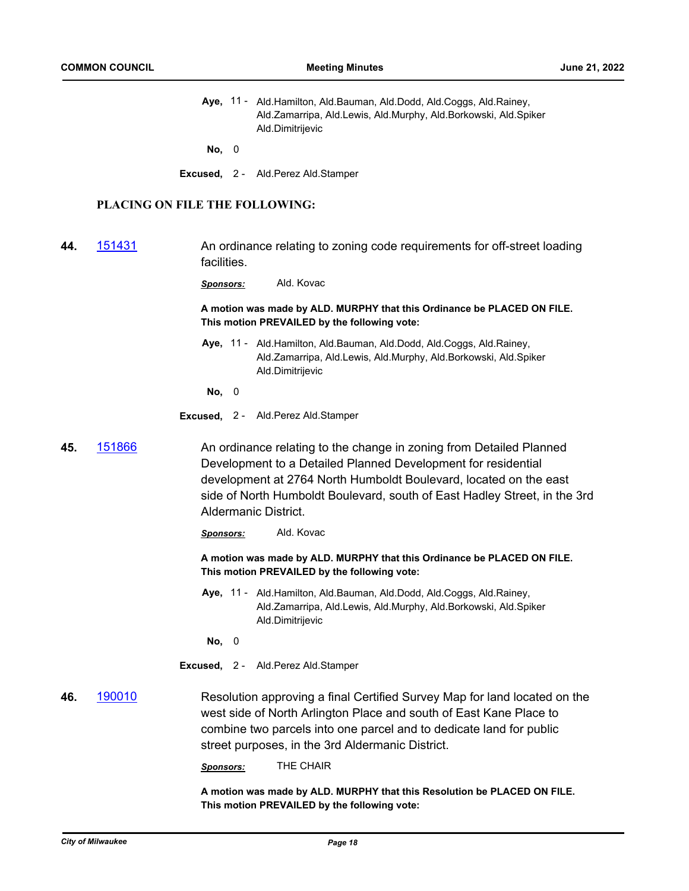Aye, 11 - Ald.Hamilton, Ald.Bauman, Ald.Dodd, Ald.Coggs, Ald.Rainey, Ald.Zamarripa, Ald.Lewis, Ald.Murphy, Ald.Borkowski, Ald.Spiker Ald.Dimitrijevic

**No,** 0

**Excused,** 2 - Ald.Perez Ald.Stamper

# **PLACING ON FILE THE FOLLOWING:**

**44.** [151431](http://milwaukee.legistar.com/gateway.aspx?m=l&id=/matter.aspx?key=43061) An ordinance relating to zoning code requirements for off-street loading facilities.

*Sponsors:* Ald. Kovac

**A motion was made by ALD. MURPHY that this Ordinance be PLACED ON FILE. This motion PREVAILED by the following vote:**

Aye, 11 - Ald.Hamilton, Ald.Bauman, Ald.Dodd, Ald.Coggs, Ald.Rainey, Ald.Zamarripa, Ald.Lewis, Ald.Murphy, Ald.Borkowski, Ald.Spiker Ald.Dimitrijevic

**No,** 0

- **Excused,** 2 Ald.Perez Ald.Stamper
- **45.** [151866](http://milwaukee.legistar.com/gateway.aspx?m=l&id=/matter.aspx?key=43593) An ordinance relating to the change in zoning from Detailed Planned Development to a Detailed Planned Development for residential development at 2764 North Humboldt Boulevard, located on the east side of North Humboldt Boulevard, south of East Hadley Street, in the 3rd Aldermanic District.
	- *Sponsors:* Ald. Kovac

**A motion was made by ALD. MURPHY that this Ordinance be PLACED ON FILE. This motion PREVAILED by the following vote:**

Aye, 11 - Ald.Hamilton, Ald.Bauman, Ald.Dodd, Ald.Coggs, Ald.Rainey, Ald.Zamarripa, Ald.Lewis, Ald.Murphy, Ald.Borkowski, Ald.Spiker Ald.Dimitrijevic

**No,** 0

- **Excused,** 2 Ald.Perez Ald.Stamper
- **46.** [190010](http://milwaukee.legistar.com/gateway.aspx?m=l&id=/matter.aspx?key=51376) Resolution approving a final Certified Survey Map for land located on the west side of North Arlington Place and south of East Kane Place to combine two parcels into one parcel and to dedicate land for public street purposes, in the 3rd Aldermanic District.

*Sponsors:* THE CHAIR

**A motion was made by ALD. MURPHY that this Resolution be PLACED ON FILE. This motion PREVAILED by the following vote:**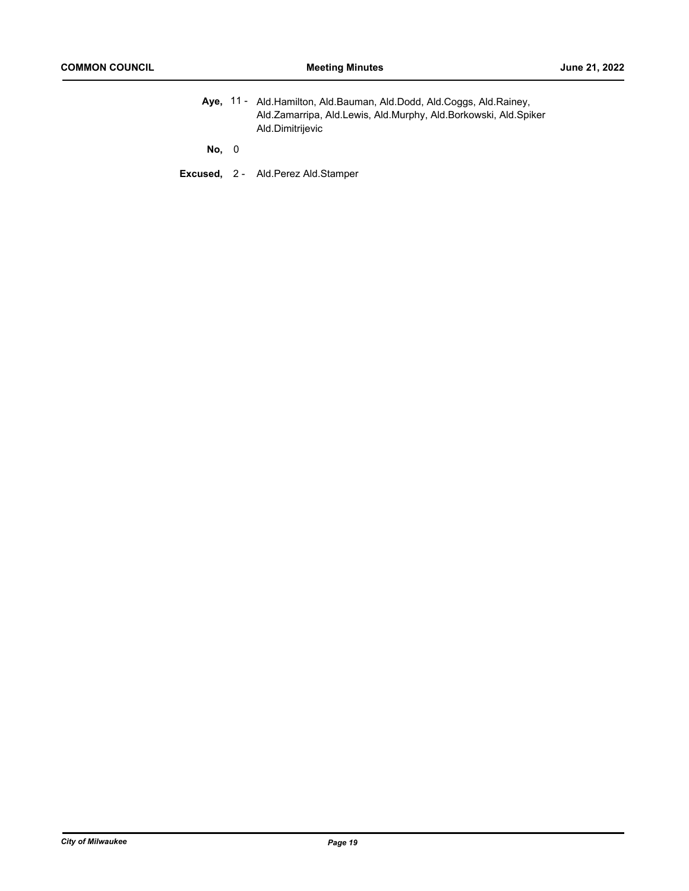Aye, 11 - Ald.Hamilton, Ald.Bauman, Ald.Dodd, Ald.Coggs, Ald.Rainey, Ald.Zamarripa, Ald.Lewis, Ald.Murphy, Ald.Borkowski, Ald.Spiker Ald.Dimitrijevic

**No,** 0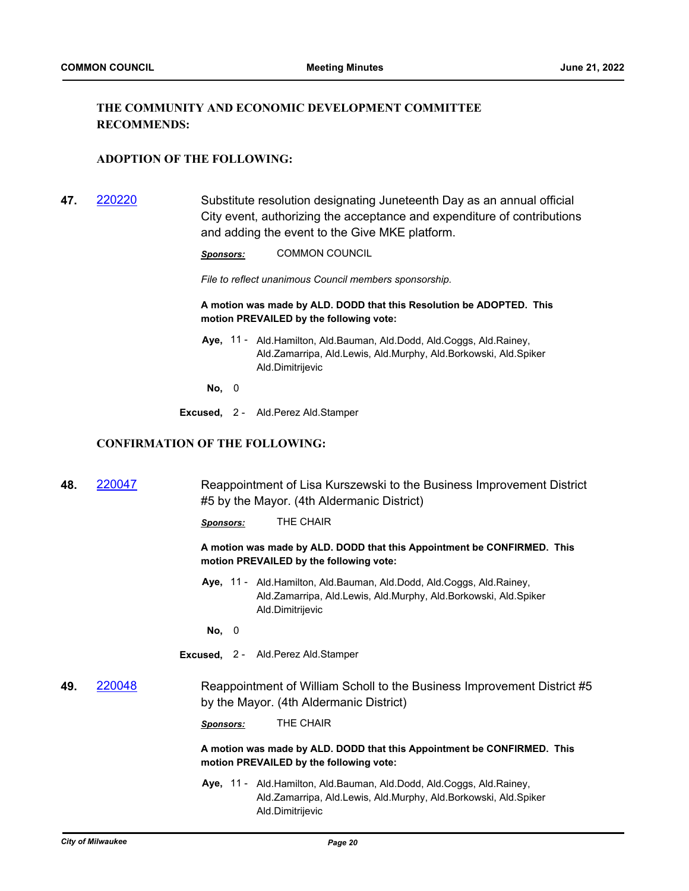# **THE COMMUNITY AND ECONOMIC DEVELOPMENT COMMITTEE RECOMMENDS:**

#### **ADOPTION OF THE FOLLOWING:**

**47.** [220220](http://milwaukee.legistar.com/gateway.aspx?m=l&id=/matter.aspx?key=62348) Substitute resolution designating Juneteenth Day as an annual official City event, authorizing the acceptance and expenditure of contributions and adding the event to the Give MKE platform.

*Sponsors:* COMMON COUNCIL

*File to reflect unanimous Council members sponsorship.*

#### **A motion was made by ALD. DODD that this Resolution be ADOPTED. This motion PREVAILED by the following vote:**

- Aye, 11 Ald.Hamilton, Ald.Bauman, Ald.Dodd, Ald.Coggs, Ald.Rainey, Ald.Zamarripa, Ald.Lewis, Ald.Murphy, Ald.Borkowski, Ald.Spiker Ald.Dimitrijevic
- **No,** 0
- **Excused,** 2 Ald.Perez Ald.Stamper

# **CONFIRMATION OF THE FOLLOWING:**

| 48. | 220047                                                                                                             | Reappointment of Lisa Kurszewski to the Business Improvement District<br>#5 by the Mayor. (4th Aldermanic District)                                              |
|-----|--------------------------------------------------------------------------------------------------------------------|------------------------------------------------------------------------------------------------------------------------------------------------------------------|
|     |                                                                                                                    | THE CHAIR<br>Sponsors:                                                                                                                                           |
|     |                                                                                                                    | A motion was made by ALD. DODD that this Appointment be CONFIRMED. This<br>motion PREVAILED by the following vote:                                               |
|     |                                                                                                                    | Aye, 11 - Ald. Hamilton, Ald. Bauman, Ald. Dodd, Ald. Coggs, Ald. Rainey,<br>Ald.Zamarripa, Ald.Lewis, Ald.Murphy, Ald.Borkowski, Ald.Spiker<br>Ald.Dimitrijevic |
|     |                                                                                                                    | No, 0                                                                                                                                                            |
|     |                                                                                                                    | Excused, 2 - Ald. Perez Ald. Stamper                                                                                                                             |
| 49. | 220048                                                                                                             | Reappointment of William Scholl to the Business Improvement District #5<br>by the Mayor. (4th Aldermanic District)                                               |
|     |                                                                                                                    | THE CHAIR<br>Sponsors:                                                                                                                                           |
|     | A motion was made by ALD. DODD that this Appointment be CONFIRMED. This<br>motion PREVAILED by the following vote: |                                                                                                                                                                  |
|     |                                                                                                                    | Aye, 11 - Ald.Hamilton, Ald.Bauman, Ald.Dodd, Ald.Coggs, Ald.Rainey,<br>Ald.Zamarripa, Ald.Lewis, Ald.Murphy, Ald.Borkowski, Ald.Spiker<br>Ald.Dimitrijevic      |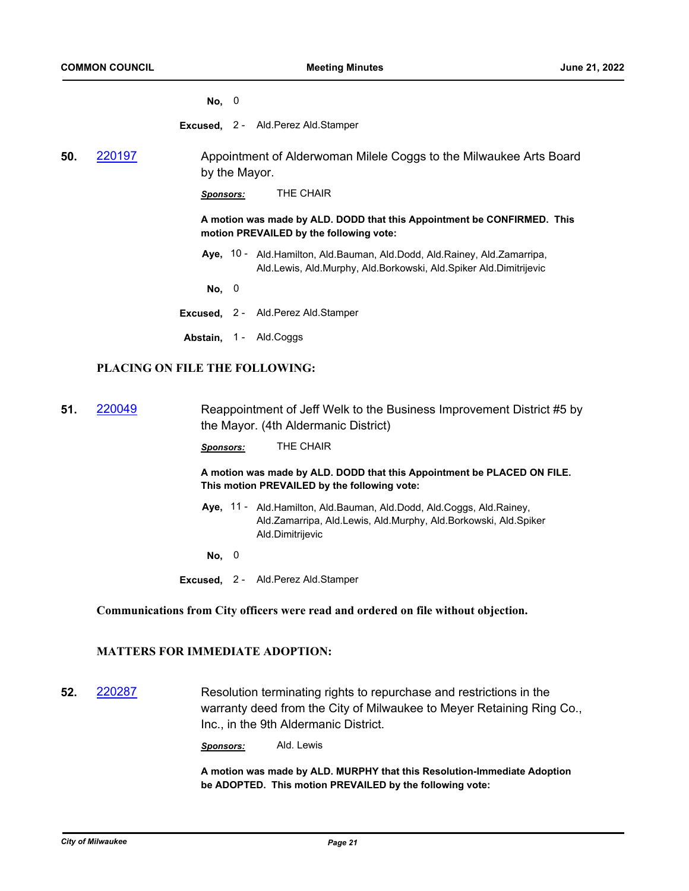**No,** 0

**Excused,** 2 - Ald.Perez Ald.Stamper

**50.** [220197](http://milwaukee.legistar.com/gateway.aspx?m=l&id=/matter.aspx?key=62317) Appointment of Alderwoman Milele Coggs to the Milwaukee Arts Board by the Mayor.

*Sponsors:* THE CHAIR

**A motion was made by ALD. DODD that this Appointment be CONFIRMED. This motion PREVAILED by the following vote:**

Aye, 10 - Ald.Hamilton, Ald.Bauman, Ald.Dodd, Ald.Rainey, Ald.Zamarripa, Ald.Lewis, Ald.Murphy, Ald.Borkowski, Ald.Spiker Ald.Dimitrijevic

**No,** 0

- **Excused,** 2 Ald.Perez Ald.Stamper
- Abstain, 1 Ald.Coggs

#### **PLACING ON FILE THE FOLLOWING:**

**51.** [220049](http://milwaukee.legistar.com/gateway.aspx?m=l&id=/matter.aspx?key=62074) Reappointment of Jeff Welk to the Business Improvement District #5 by the Mayor. (4th Aldermanic District)

*Sponsors:* THE CHAIR

**A motion was made by ALD. DODD that this Appointment be PLACED ON FILE. This motion PREVAILED by the following vote:**

Aye, 11 - Ald.Hamilton, Ald.Bauman, Ald.Dodd, Ald.Coggs, Ald.Rainey, Ald.Zamarripa, Ald.Lewis, Ald.Murphy, Ald.Borkowski, Ald.Spiker Ald.Dimitrijevic

**No,** 0

**Excused,** 2 - Ald.Perez Ald.Stamper

#### **Communications from City officers were read and ordered on file without objection.**

# **MATTERS FOR IMMEDIATE ADOPTION:**

**52.** [220287](http://milwaukee.legistar.com/gateway.aspx?m=l&id=/matter.aspx?key=62474) Resolution terminating rights to repurchase and restrictions in the warranty deed from the City of Milwaukee to Meyer Retaining Ring Co., Inc., in the 9th Aldermanic District.

*Sponsors:* Ald. Lewis

**A motion was made by ALD. MURPHY that this Resolution-Immediate Adoption be ADOPTED. This motion PREVAILED by the following vote:**